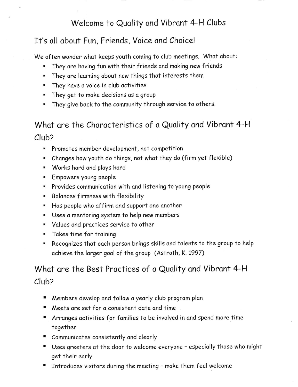## Welcome to Quality and Vibrant 4-H Clubs

## It's all about Fun, Friends, Voice and Choice!

We often wonder what keeps youth coming to club meetings. What about:

- " They are having fun with their friends and making new friends
- . They are learning obout new fhings thot interests them
- **They have a voice in club activities**
- **F** They get to make decisions as a group
- . They give bock to the community through service to others.

# What are the Characteristics of a Quality and Vibrant 4-H Club?

- . Promotes member development, not competition
- . Changes how youth do things, not whot they do (firm yat flexible)
- " Works hard and plays hard
- ' Empowers young people
- . Provides communicotion with ond listening to young people
- **E.** Balances firmness with flexibility
- . Hos people who offirm ond support one onother
- . Uses o mentoring system to help new members
- . Volues ond proctices service to other
- **Takes time for training**
- . Recognizes that each person brings skills and talents to the group to help achieve the larger goal of the group (Astroth, K. 1997)

## What are the Best Practices of a Quality and Vibrant 4-H Club?

- **F** Members develop and follow a yearly club program plan
- Meets are set for a consistent date and time
- **I** Arranges activities for families to be involved in and spend more time together
- I Communicotes consistently ond cleorly
- r Uses greeters ot the door to welcome evetyone especially those who might get their early
- **The Fash r** Introduces visitors during the meeting make them feel welcome